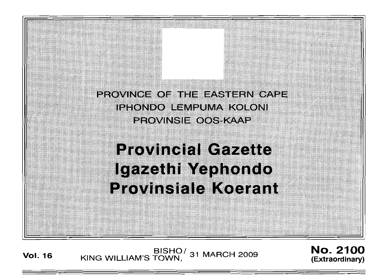PROVINCE OF THE EASTERN CAPE ieegndo lemeuma koloni PROVINSIE OOS KAAP **Provincial Gazette** Igazethi Yephondo **Provinsiale Koerant** 

**Vol. <sup>16</sup>** BISHO/ KING WILLIAM'S TOWN, 31 MARCH 2009

No. 2100 **(Extraordinary)**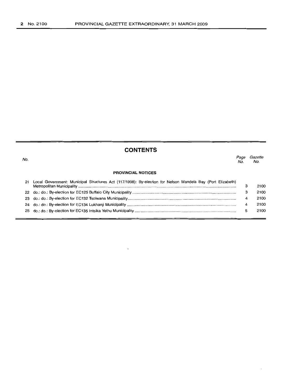No.

# **CONTENTS**

| No. |                                                                                                            | Page<br>No. | Gazette<br>No. |
|-----|------------------------------------------------------------------------------------------------------------|-------------|----------------|
|     | <b>PROVINCIAL NOTICES</b>                                                                                  |             |                |
| 21  | Local Government: Municipal Structures Act (117/1998): By-election for Nelson Mandela Bay (Port Elizabeth) | з           | 2100           |
|     |                                                                                                            | з           | 2100           |
|     |                                                                                                            | 4           | 2100           |
|     |                                                                                                            | 4           | 2100           |
|     |                                                                                                            | 5           | 2100           |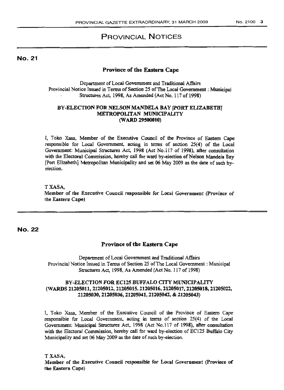## PROVINCIAL NOTICES

No. 21

## Province of the Eastern Cape

Department ofLoca1 Government and Traditional Affairs Provincial Notice Issued in Terms of Section 25 of The Local Government: Municipal Structures Act, 1998, As Amended (Act No. 117 of 1998)

#### BY-ELECTION FOR NELSON MANDELA BAY [pORT ELIZABETH] METROPOliTAN MUNICIPALITY (WARD 29500010)

I, Toko Xasa, Member of the Executive Council of the Province of Eastern Cape responsible for Local Government, acting in terms of section 25(4) of the Local Government: Municipal Structures Act, 1998 (Act No.117 of 1998), after consultation with the Electoral Commission, hereby call for ward by-election of Nelson Mandela Bay (Port Elizabeth] Metropolitan Municipality and set 06 May 2009 as the date of such byelection.

TXASA, Member of the Executive Council responsible for Local Government (Province of the Eastern Cape)

No. 22

## Province of the Eastern Cape

Department of Local Government and Traditional Affairs Provincial Notice Issued in Terms of Section 25 ofThe Local Government: Municipal Structures Act, 1998, As Amended (Act No. 117 of 1998)

## BY-ELECTION FOR EC125 BUFFALO CITY MUNICIPALITY (WARDS 21205011, 21205012, 21205015, 21205016, 21205017, 21205018, 21205022, 21205030, 21205036,21205041, 21205042, & 2U05043)

1. Toko Xasa, Member of the Executive Council of the Province of Eastern Cape responsible for Local Government, acting in terms of section 25(4) of the Local Government: Municipal Structures Act, 1998 (Act No.117 of 1998), after consultation with the Electoral Commission, hereby call for ward by-election of EC125 Buffalo City Municipality and set 06 May 2009 as the date of such by-election.

TXASA,

Member of the Executive Council responsible for Local Government (Province of the Eastern Cape)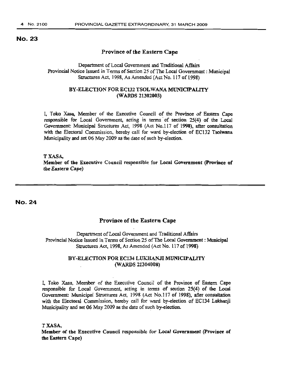## No. 23

#### Province of the Eastern Cape

## Department of Local Government and Traditional Affairs Provincial Notice Issued in Terms of Section 25 of The Local Government: Municipal Structures Act, 1998, As Amended (Act No. 117 of 1998)

#### BY-ELECTION FOR EC132 TSOLWANA MUNICIPALITY (WARDS 21302003)

I, Toke Xasa, Member of the Executive Council of the Province of Eastern Cape responsible for Local Government, acting in terms of section 25(4) of the Local Government: Municipal Structures Act, J998 (Act No.117 of 1998), after consultation with the Electoral Commission, hereby call for ward by-election of EC132 Tsolwana Municipality and set 06 May 2009 as the date of such by-election.

TXASA, Member of the Executive Council responsible for Local Government (province of the Eastern Cape)

No. 24

#### Province of the Eastern Cape

Department of Local Government and Traditional Affairs Provincial Notice Issued in Terms of Section 25 ofThe Local Government: Municipal Structures Act, 1998, As Amended (Act No. 117 of 1998)

## BY-ELECTION FOR EC134 LUKHANJI MUNICIPALITY (WARDS 21304008)

1, Toko Xasa, Member of the Executive Council of the Province of Eastern Cape responsible for Local Government, acting in terms of section 25(4) of the Local Government: Municipal Structures Act, 1998 (Act No.1l7 of 1998), after consultation with the Electoral Commission. hereby call for ward by-election of EC134 Lukhanji Municipality and set 06 May 2009 as the date of such by-election.

TXASA,

Member of the Executive Council responsible for Local Government (province of the Eastern Cape)